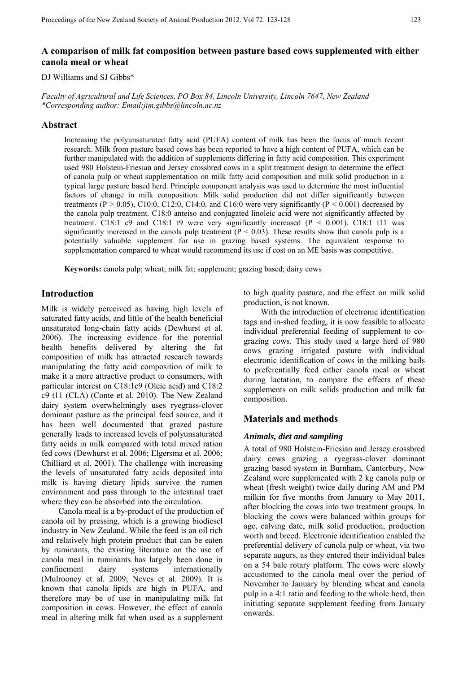# **A comparison of milk fat composition between pasture based cows supplemented with either canola meal or wheat**

## DJ Williams and SJ Gibbs\*

*Faculty of Agricultural and Life Sciences, PO Box 84, Lincoln University, Lincoln 7647, New Zealand \*Corresponding author: Email:jim.gibbs@lincoln.ac.nz* 

#### **Abstract**

Increasing the polyunsaturated fatty acid (PUFA) content of milk has been the focus of much recent research. Milk from pasture based cows has been reported to have a high content of PUFA, which can be further manipulated with the addition of supplements differing in fatty acid composition. This experiment used 980 Holstein-Friesian and Jersey crossbred cows in a split treatment design to determine the effect of canola pulp or wheat supplementation on milk fatty acid composition and milk solid production in a typical large pasture based herd. Principle component analysis was used to determine the most influential factors of change in milk composition. Milk solid production did not differ significantly between treatments (P  $> 0.05$ ), C10:0, C12:0, C14:0, and C16:0 were very significantly (P  $< 0.001$ ) decreased by the canola pulp treatment. C18:0 anteiso and conjugated linoleic acid were not significantly affected by treatment. C18:1 c9 and C18:1 t9 were very significantly increased  $(P < 0.001)$ . C18:1 t11 was significantly increased in the canola pulp treatment ( $P < 0.03$ ). These results show that canola pulp is a potentially valuable supplement for use in grazing based systems. The equivalent response to supplementation compared to wheat would recommend its use if cost on an ME basis was competitive.

**Keywords:** canola pulp; wheat; milk fat; supplement; grazing based; dairy cows

# **Introduction**

Milk is widely perceived as having high levels of saturated fatty acids, and little of the health beneficial unsaturated long-chain fatty acids (Dewhurst et al. 2006). The increasing evidence for the potential health benefits delivered by altering the fat composition of milk has attracted research towards manipulating the fatty acid composition of milk to make it a more attractive product to consumers, with particular interest on C18:1c9 (Oleic acid) and C18:2 c9 t11 (CLA) (Conte et al. 2010). The New Zealand dairy system overwhelmingly uses ryegrass-clover dominant pasture as the principal feed source, and it has been well documented that grazed pasture generally leads to increased levels of polyunsaturated fatty acids in milk compared with total mixed ration fed cows (Dewhurst et al. 2006; Elgersma et al. 2006; Chilliard et al. 2001). The challenge with increasing the levels of unsaturated fatty acids deposited into milk is having dietary lipids survive the rumen environment and pass through to the intestinal tract where they can be absorbed into the circulation.

 Canola meal is a by-product of the production of canola oil by pressing, which is a growing biodiesel industry in New Zealand. While the feed is an oil rich and relatively high protein product that can be eaten by ruminants, the existing literature on the use of canola meal in ruminants has largely been done in confinement dairy systems internationally (Mulrooney et al. 2009; Neves et al. 2009). It is known that canola lipids are high in PUFA, and therefore may be of use in manipulating milk fat composition in cows. However, the effect of canola meal in altering milk fat when used as a supplement to high quality pasture, and the effect on milk solid production, is not known.

 With the introduction of electronic identification tags and in-shed feeding, it is now feasible to allocate individual preferential feeding of supplement to cograzing cows. This study used a large herd of 980 cows grazing irrigated pasture with individual electronic identification of cows in the milking bails to preferentially feed either canola meal or wheat during lactation, to compare the effects of these supplements on milk solids production and milk fat composition.

# **Materials and methods**

#### *Animals, diet and sampling*

A total of 980 Holstein-Friesian and Jersey crossbred dairy cows grazing a ryegrass-clover dominant grazing based system in Burnham, Canterbury, New Zealand were supplemented with 2 kg canola pulp or wheat (fresh weight) twice daily during AM and PM milkin for five months from January to May 2011, after blocking the cows into two treatment groups. In blocking the cows were balanced within groups for age, calving date, milk solid production, production worth and breed. Electronic identification enabled the preferential delivery of canola pulp or wheat, via two separate augurs, as they entered their individual bales on a 54 bale rotary platform. The cows were slowly accustomed to the canola meal over the period of November to January by blending wheat and canola pulp in a 4:1 ratio and feeding to the whole herd, then initiating separate supplement feeding from January onwards.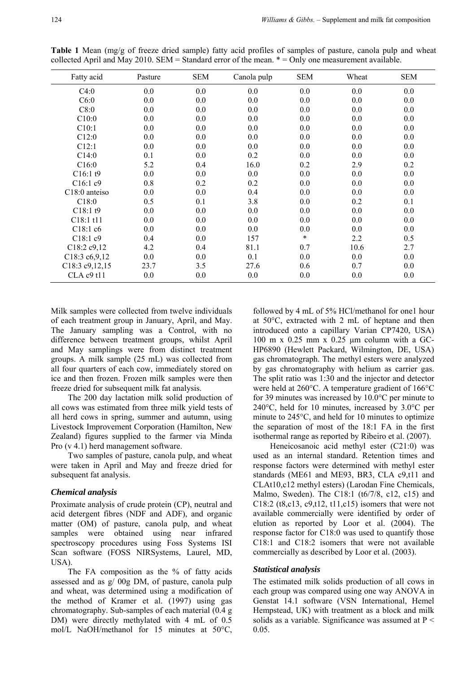| Fatty acid                 | Pasture | <b>SEM</b> | Canola pulp | <b>SEM</b> | Wheat | <b>SEM</b> |
|----------------------------|---------|------------|-------------|------------|-------|------------|
| C4:0                       | 0.0     | 0.0        | 0.0         | 0.0        | 0.0   | 0.0        |
| C6:0                       | 0.0     | $0.0\,$    | 0.0         | 0.0        | 0.0   | 0.0        |
| C8:0                       | 0.0     | $0.0\,$    | 0.0         | 0.0        | 0.0   | 0.0        |
| C10:0                      | 0.0     | $0.0\,$    | 0.0         | 0.0        | 0.0   | 0.0        |
| C10:1                      | 0.0     | 0.0        | 0.0         | 0.0        | 0.0   | 0.0        |
| C12:0                      | 0.0     | $0.0\,$    | 0.0         | 0.0        | 0.0   | 0.0        |
| C12:1                      | 0.0     | $0.0\,$    | 0.0         | 0.0        | 0.0   | 0.0        |
| C14:0                      | 0.1     | $0.0\,$    | 0.2         | 0.0        | 0.0   | 0.0        |
| C16:0                      | 5.2     | 0.4        | 16.0        | 0.2        | 2.9   | 0.2        |
| C16:1 t9                   | 0.0     | $0.0\,$    | 0.0         | 0.0        | 0.0   | 0.0        |
| C16:1c9                    | 0.8     | 0.2        | 0.2         | 0.0        | 0.0   | 0.0        |
| C <sub>18</sub> :0 anteiso | 0.0     | $0.0\,$    | 0.4         | 0.0        | 0.0   | 0.0        |
| C18:0                      | 0.5     | 0.1        | 3.8         | 0.0        | 0.2   | 0.1        |
| C18:1t9                    | 0.0     | $0.0\,$    | 0.0         | 0.0        | 0.0   | 0.0        |
| $C18:1$ t11                | 0.0     | $0.0\,$    | 0.0         | 0.0        | 0.0   | 0.0        |
| C18:1c6                    | 0.0     | 0.0        | 0.0         | 0.0        | 0.0   | 0.0        |
| C18:1c9                    | 0.4     | 0.0        | 157         | $\ast$     | 2.2   | 0.5        |
| C18:2c9,12                 | 4.2     | 0.4        | 81.1        | 0.7        | 10.6  | 2.7        |
| C18:3 c6,9,12              | 0.0     | 0.0        | 0.1         | 0.0        | 0.0   | 0.0        |
| C18:3 c9, 12, 15           | 23.7    | 3.5        | 27.6        | 0.6        | 0.7   | 0.0        |
| CLA c9 t11                 | 0.0     | $0.0\,$    | 0.0         | 0.0        | 0.0   | 0.0        |

**Table 1** Mean (mg/g of freeze dried sample) fatty acid profiles of samples of pasture, canola pulp and wheat collected April and May 2010. SEM = Standard error of the mean. \* = Only one measurement available.

Milk samples were collected from twelve individuals of each treatment group in January, April, and May. The January sampling was a Control, with no difference between treatment groups, whilst April and May samplings were from distinct treatment groups. A milk sample (25 mL) was collected from all four quarters of each cow, immediately stored on ice and then frozen. Frozen milk samples were then freeze dried for subsequent milk fat analysis.

 The 200 day lactation milk solid production of all cows was estimated from three milk yield tests of all herd cows in spring, summer and autumn, using Livestock Improvement Corporation (Hamilton, New Zealand) figures supplied to the farmer via Minda Pro (v 4.1) herd management software.

 Two samples of pasture, canola pulp, and wheat were taken in April and May and freeze dried for subsequent fat analysis.

#### *Chemical analysis*

Proximate analysis of crude protein (CP), neutral and acid detergent fibres (NDF and ADF), and organic matter (OM) of pasture, canola pulp, and wheat samples were obtained using near infrared spectroscopy procedures using Foss Systems ISI Scan software (FOSS NIRSystems, Laurel, MD, USA).

The FA composition as the % of fatty acids assessed and as g/ 00g DM, of pasture, canola pulp and wheat, was determined using a modification of the method of Kramer et al. (1997) using gas chromatography. Sub-samples of each material (0.4 g DM) were directly methylated with 4 mL of 0.5 mol/L NaOH/methanol for 15 minutes at 50°C,

followed by 4 mL of 5% HCl/methanol for one1 hour at 50°C, extracted with 2 mL of heptane and then introduced onto a capillary Varian CP7420, USA) 100 m x 0.25 mm x 0.25 μm column with a GC-HP6890 (Hewlett Packard, Wilmington, DE, USA) gas chromatograph. The methyl esters were analyzed by gas chromatography with helium as carrier gas. The split ratio was 1:30 and the injector and detector were held at 260°C. A temperature gradient of 166°C for 39 minutes was increased by 10.0°C per minute to 240°C, held for 10 minutes, increased by 3.0°C per minute to 245°C, and held for 10 minutes to optimize the separation of most of the 18:1 FA in the first isothermal range as reported by Ribeiro et al. (2007).

 Heneicosanoic acid methyl ester (C21:0) was used as an internal standard. Retention times and response factors were determined with methyl ester standards (ME61 and ME93, BR3, CLA c9,t11 and CLAt10,c12 methyl esters) (Larodan Fine Chemicals, Malmo, Sweden). The C18:1 (t6/7/8, c12, c15) and C18:2 (t8,c13, c9,t12, t11,c15) isomers that were not available commercially were identified by order of elution as reported by Loor et al. (2004). The response factor for C18:0 was used to quantify those C18:1 and C18:2 isomers that were not available commercially as described by Loor et al. (2003).

### *Statistical analysis*

The estimated milk solids production of all cows in each group was compared using one way ANOVA in Genstat 14.1 software (VSN International, Hemel Hempstead, UK) with treatment as a block and milk solids as a variable. Significance was assumed at P < 0.05.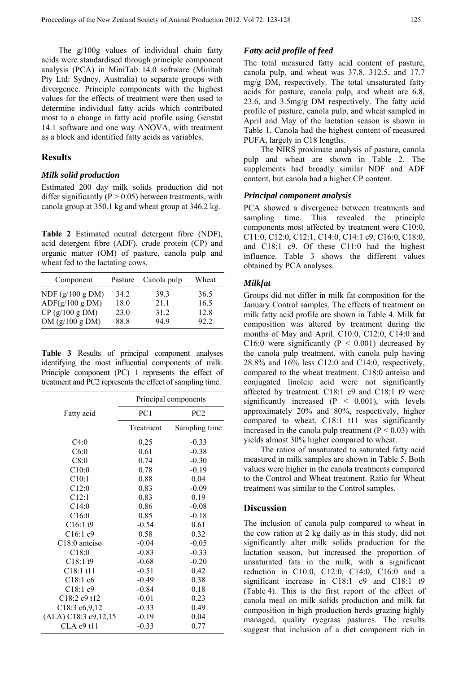The g/100g values of individual chain fatty acids were standardised through principle component analysis (PCA) in MiniTab 14.0 software (Minitab Pty Ltd: Sydney, Australia) to separate groups with divergence. Principle components with the highest values for the effects of treatment were then used to determine individual fatty acids which contributed most to a change in fatty acid profile using Genstat 14.1 software and one way ANOVA, with treatment as a block and identified fatty acids as variables.

#### **Results**

### *Milk solid production*

Estimated 200 day milk solids production did not differ significantly ( $P > 0.05$ ) between treatments, with canola group at 350.1 kg and wheat group at 346.2 kg.

**Table 2** Estimated neutral detergent fibre (NDF), acid detergent fibre (ADF), crude protein (CP) and organic matter (OM) of pasture, canola pulp and wheat fed to the lactating cows.

| Component          | Pasture | Canola pulp | Wheat |
|--------------------|---------|-------------|-------|
| NDF $(g/100 g DM)$ | 34.2    | 39.3        | 36.5  |
| ADF(g/100 g DM)    | 18.0    | 21 1        | 16.5  |
| $CP$ (g/100 g DM)  | 23.0    | 31 2        | 12.8  |
| OM $(g/100 g DM)$  | 88.8    | 949         | 92.2  |

**Table 3** Results of principal component analyses identifying the most influential components of milk. Principle component (PC) 1 represents the effect of treatment and PC2 represents the effect of sampling time.

|                                                  | Principal components |                 |  |  |  |  |
|--------------------------------------------------|----------------------|-----------------|--|--|--|--|
| Fatty acid                                       | PC <sub>1</sub>      | PC <sub>2</sub> |  |  |  |  |
|                                                  | Treatment            | Sampling time   |  |  |  |  |
| C4:0                                             | 0.25                 | $-0.33$         |  |  |  |  |
| C6:0                                             | 0.61                 | $-0.38$         |  |  |  |  |
| C8:0                                             | 0.74                 | $-0.30$         |  |  |  |  |
| C10:0                                            | 0.78                 | $-0.19$         |  |  |  |  |
| C10:1                                            | 0.88                 | 0.04            |  |  |  |  |
| C12:0                                            | 0.83                 | $-0.09$         |  |  |  |  |
| C12:1                                            | 0.83                 | 0.19            |  |  |  |  |
| C14:0                                            | 0.86                 | $-0.08$         |  |  |  |  |
| C16:0                                            | 0.85                 | $-0.18$         |  |  |  |  |
| C16:1 t9                                         | $-0.54$              | 0.61            |  |  |  |  |
| C16:1c9                                          | 0.58                 | 0.32            |  |  |  |  |
| $C18:0$ anteiso                                  | $-0.04$              | $-0.05$         |  |  |  |  |
| C18:0                                            | $-0.83$              | $-0.33$         |  |  |  |  |
| C18:1 t9                                         | $-0.68$              | $-0.20$         |  |  |  |  |
| $C18:1$ t11                                      | $-0.51$              | 0.42            |  |  |  |  |
| C18:1c6                                          | $-0.49$              | 0.38            |  |  |  |  |
| C18:1c9                                          | $-0.84$              | 0.18            |  |  |  |  |
| C <sub>18:2</sub> c <sub>9</sub> t <sub>12</sub> | $-0.01$              | 0.23            |  |  |  |  |
| C18:3 c6,9,12                                    | $-0.33$              | 0.49            |  |  |  |  |
| (ALA) C18:3 c9,12,15                             | $-0.19$              | 0.04            |  |  |  |  |
| CLA c9 t11                                       | $-0.33$              | 0.77            |  |  |  |  |

## *Fatty acid profile of feed*

The total measured fatty acid content of pasture, canola pulp, and wheat was 37.8, 312.5, and 17.7 mg/g DM, respectively. The total unsaturated fatty acids for pasture, canola pulp, and wheat are 6.8, 23.6, and 3.5mg/g DM respectively. The fatty acid profile of pasture, canola pulp, and wheat sampled in April and May of the lactation season is shown in Table 1. Canola had the highest content of measured PUFA, largely in C18 lengths.

 The NIRS proximate analysis of pasture, canola pulp and wheat are shown in Table 2. The supplements had broadly similar NDF and ADF content, but canola had a higher CP content.

## *Principal component analysis*

PCA showed a divergence between treatments and sampling time. This revealed the principle components most affected by treatment were C10:0, C11:0, C12:0, C12:1, C14:0, C14:1 c9, C16:0, C18:0, and C18:1 c9. Of these C11:0 had the highest influence. Table 3 shows the different values obtained by PCA analyses.

## *Milkfat*

Groups did not differ in milk fat composition for the January Control samples. The effects of treatment on milk fatty acid profile are shown in Table 4. Milk fat composition was altered by treatment during the months of May and April. C10:0, C12:0, C14:0 and C16:0 were significantly ( $P < 0.001$ ) decreased by the canola pulp treatment, with canola pulp having 28.8% and 16% less C12:0 and C14:0, respectively, compared to the wheat treatment. C18:0 anteiso and conjugated linoleic acid were not significantly affected by treatment. C18:1 c9 and C18:1 t9 were significantly increased  $(P < 0.001)$ , with levels approximately 20% and 80%, respectively, higher compared to wheat. C18:1 t11 was significantly increased in the canola pulp treatment  $(P < 0.03)$  with yields almost 30% higher compared to wheat.

 The ratios of unsaturated to saturated fatty acid measured in milk samples are shown in Table 5. Both values were higher in the canola treatments compared to the Control and Wheat treatment. Ratio for Wheat treatment was similar to the Control samples.

### **Discussion**

The inclusion of canola pulp compared to wheat in the cow ration at 2 kg daily as in this study, did not significantly alter milk solids production for the lactation season, but increased the proportion of unsaturated fats in the milk, with a significant reduction in C10:0, C12:0, C14:0, C16:0 and a significant increase in C18:1 c9 and C18:1 t9 (Table 4). This is the first report of the effect of canola meal on milk solids production and milk fat composition in high production herds grazing highly managed, quality ryegrass pastures. The results suggest that inclusion of a diet component rich in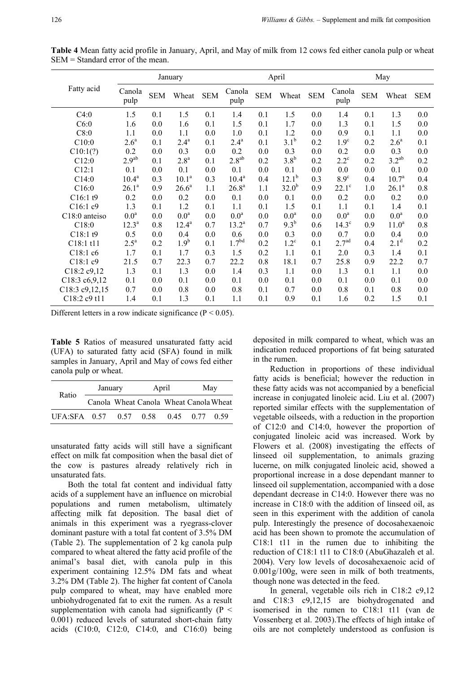|                  |                    |            | January           |            | April              |            |                  | May        |                   |            |                   |            |
|------------------|--------------------|------------|-------------------|------------|--------------------|------------|------------------|------------|-------------------|------------|-------------------|------------|
| Fatty acid       | Canola<br>pulp     | <b>SEM</b> | Wheat             | <b>SEM</b> | Canola<br>pulp     | <b>SEM</b> | Wheat            | <b>SEM</b> | Canola<br>pulp    | <b>SEM</b> | Wheat             | <b>SEM</b> |
| C4:0             | 1.5                | 0.1        | 1.5               | 0.1        | 1.4                | 0.1        | 1.5              | 0.0        | 1.4               | 0.1        | 1.3               | $0.0\,$    |
| C6:0             | 1.6                | 0.0        | 1.6               | 0.1        | 1.5                | 0.1        | 1.7              | 0.0        | 1.3               | 0.1        | 1.5               | 0.0        |
| C8:0             | 1.1                | 0.0        | 1.1               | 0.0        | 1.0                | 0.1        | 1.2              | 0.0        | 0.9               | 0.1        | 1.1               | 0.0        |
| C10:0            | 2.6 <sup>a</sup>   | 0.1        | $2.4^{a}$         | 0.1        | $2.4^{\mathrm{a}}$ | 0.1        | 3.1 <sup>b</sup> | 0.2        | 1.9 <sup>c</sup>  | 0.2        | 2.6 <sup>a</sup>  | 0.1        |
| C10:1(?)         | 0.2                | 0.0        | 0.3               | 0.0        | 0.2                | 0.0        | 0.3              | 0.0        | 0.2               | 0.0        | 0.3               | 0.0        |
| C12:0            | 2.9 <sup>ab</sup>  | 0.1        | 2.8 <sup>a</sup>  | 0.1        | $2.8^{ab}$         | 0.2        | 3.8 <sup>b</sup> | 0.2        | $2.2^{\circ}$     | 0.2        | $3.2^{ab}$        | 0.2        |
| C12:1            | 0.1                | 0.0        | 0.1               | 0.0        | 0.1                | 0.0        | 0.1              | 0.0        | 0.0               | 0.0        | 0.1               | 0.0        |
| C14:0            | $10.4^a$           | 0.3        | 10.1 <sup>a</sup> | 0.3        | $10.4^a$           | 0.4        | $12.1^b$         | 0.3        | 8.9 <sup>c</sup>  | 0.4        | 10.7 <sup>a</sup> | 0.4        |
| C16:0            | $26.1^a$           | 0.9        | $26.6^a$          | 1.1        | $26.8^{a}$         | 1.1        | $32.0^{b}$       | 0.9        | $22.1^\circ$      | 1.0        | $26.1^a$          | 0.8        |
| C16:1t9          | 0.2                | 0.0        | 0.2               | 0.0        | 0.1                | 0.0        | 0.1              | 0.0        | 0.2               | 0.0        | 0.2               | 0.0        |
| C16:1c9          | 1.3                | 0.1        | 1.2               | 0.1        | 1.1                | 0.1        | 1.5              | 0.1        | 1.1               | 0.1        | 1.4               | 0.1        |
| C18:0 anteiso    | 0.0 <sup>a</sup>   | 0.0        | 0.0 <sup>a</sup>  | 0.0        | 0.0 <sup>a</sup>   | 0.0        | 0.0 <sup>a</sup> | 0.0        | 0.0 <sup>a</sup>  | 0.0        | 0.0 <sup>a</sup>  | 0.0        |
| C18:0            | $12.3^a$           | 0.8        | $12.4^a$          | 0.7        | $13.2^a$           | 0.7        | $9.3^{b}$        | 0.6        | $14.3^\circ$      | 0.9        | 11.0 <sup>a</sup> | 0.8        |
| C18:1 t9         | 0.5                | 0.0        | 0.4               | 0.0        | 0.6                | 0.0        | 0.3              | 0.0        | 0.7               | 0.0        | 0.4               | 0.0        |
| C18:1 t11        | $2.5^{\mathrm{a}}$ | 0.2        | 1.9 <sup>b</sup>  | 0.1        | 1.7 <sup>bd</sup>  | 0.2        | $1.2^{\circ}$    | 0.1        | 2.7 <sup>ad</sup> | 0.4        | $2.1^d$           | 0.2        |
| C18:1 c6         | 1.7                | 0.1        | 1.7               | 0.3        | 1.5                | 0.2        | 1.1              | 0.1        | 2.0               | 0.3        | 1.4               | 0.1        |
| C18:1 c9         | 21.5               | 0.7        | 22.3              | 0.7        | 22.2               | 0.8        | 18.1             | 0.7        | 25.8              | 0.9        | 22.2              | 0.7        |
| C18:2 c9,12      | 1.3                | 0.1        | 1.3               | 0.0        | 1.4                | 0.3        | 1.1              | 0.0        | 1.3               | 0.1        | 1.1               | 0.0        |
| C18:3 c6,9,12    | 0.1                | 0.0        | 0.1               | 0.0        | 0.1                | 0.0        | 0.1              | 0.0        | 0.1               | 0.0        | 0.1               | 0.0        |
| C18:3 c9, 12, 15 | 0.7                | 0.0        | 0.8               | 0.0        | 0.8                | 0.1        | 0.7              | 0.0        | 0.8               | 0.1        | 0.8               | 0.0        |
| C18:2 c9 t11     | 1.4                | 0.1        | 1.3               | 0.1        | 1.1                | 0.1        | 0.9              | 0.1        | 1.6               | 0.2        | 1.5               | 0.1        |

Different letters in a row indicate significance ( $P < 0.05$ ).

**Table 5** Ratios of measured unsaturated fatty acid (UFA) to saturated fatty acid (SFA) found in milk samples in January, April and May of cows fed either canola pulp or wheat.

| Ratio          | January                                |      | April | May            |  |  |
|----------------|----------------------------------------|------|-------|----------------|--|--|
|                | Canola Wheat Canola Wheat Canola Wheat |      |       |                |  |  |
| UFA $SFA$ 0.57 |                                        | 0.57 | 0.58  | 0.45 0.77 0.59 |  |  |

unsaturated fatty acids will still have a significant effect on milk fat composition when the basal diet of the cow is pastures already relatively rich in unsaturated fats.

 Both the total fat content and individual fatty acids of a supplement have an influence on microbial populations and rumen metabolism, ultimately affecting milk fat deposition. The basal diet of animals in this experiment was a ryegrass-clover dominant pasture with a total fat content of 3.5% DM (Table 2). The supplementation of 2 kg canola pulp compared to wheat altered the fatty acid profile of the animal's basal diet, with canola pulp in this experiment containing 12.5% DM fats and wheat 3.2% DM (Table 2). The higher fat content of Canola pulp compared to wheat, may have enabled more unbiohydrogenated fat to exit the rumen. As a result supplementation with canola had significantly  $(P \leq$ 0.001) reduced levels of saturated short-chain fatty acids (C10:0, C12:0, C14:0, and C16:0) being

deposited in milk compared to wheat, which was an indication reduced proportions of fat being saturated in the rumen.

 Reduction in proportions of these individual fatty acids is beneficial; however the reduction in these fatty acids was not accompanied by a beneficial increase in conjugated linoleic acid. Liu et al. (2007) reported similar effects with the supplementation of vegetable oilseeds, with a reduction in the proportion of C12:0 and C14:0, however the proportion of conjugated linoleic acid was increased. Work by Flowers et al. (2008) investigating the effects of linseed oil supplementation, to animals grazing lucerne, on milk conjugated linoleic acid, showed a proportional increase in a dose dependant manner to linseed oil supplementation, accompanied with a dose dependant decrease in C14:0. However there was no increase in C18:0 with the addition of linseed oil, as seen in this experiment with the addition of canola pulp. Interestingly the presence of docosahexaenoic acid has been shown to promote the accumulation of C18:1 t11 in the rumen due to inhibiting the reduction of C18:1 t11 to C18:0 (AbuGhazaleh et al. 2004). Very low levels of docosahexaenoic acid of 0.001g/100g, were seen in milk of both treatments, though none was detected in the feed.

 In general, vegetable oils rich in C18:2 c9,12 and C18:3 c9,12,15 are biohydrogenated and isomerised in the rumen to C18:1 t11 (van de Vossenberg et al. 2003).The effects of high intake of oils are not completely understood as confusion is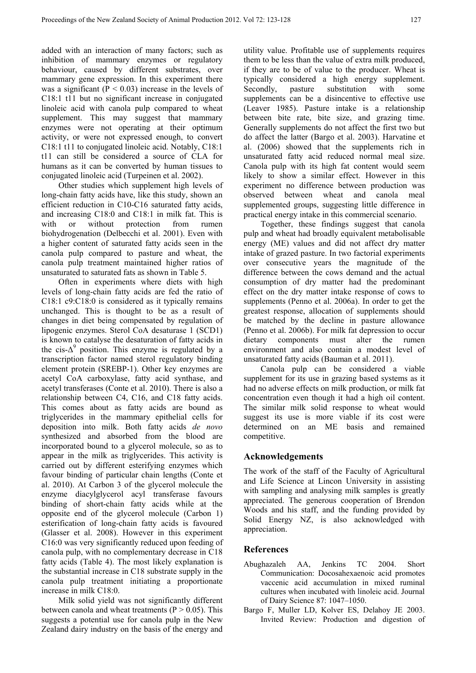added with an interaction of many factors; such as inhibition of mammary enzymes or regulatory behaviour, caused by different substrates, over mammary gene expression. In this experiment there was a significant ( $P < 0.03$ ) increase in the levels of C18:1 t11 but no significant increase in conjugated linoleic acid with canola pulp compared to wheat supplement. This may suggest that mammary enzymes were not operating at their optimum activity, or were not expressed enough, to convert C18:1 t11 to conjugated linoleic acid. Notably, C18:1 t11 can still be considered a source of CLA for humans as it can be converted by human tissues to conjugated linoleic acid (Turpeinen et al. 2002).

 Other studies which supplement high levels of long-chain fatty acids have, like this study, shown an efficient reduction in C10-C16 saturated fatty acids, and increasing C18:0 and C18:1 in milk fat. This is with or without protection from rumen biohydrogenation (Delbecchi et al. 2001). Even with a higher content of saturated fatty acids seen in the canola pulp compared to pasture and wheat, the canola pulp treatment maintained higher ratios of unsaturated to saturated fats as shown in Table 5.

 Often in experiments where diets with high levels of long-chain fatty acids are fed the ratio of C18:1 c9:C18:0 is considered as it typically remains unchanged. This is thought to be as a result of changes in diet being compensated by regulation of lipogenic enzymes. Sterol CoA desaturase 1 (SCD1) is known to catalyse the desaturation of fatty acids in the cis- $\Delta^9$  position. This enzyme is regulated by a transcription factor named sterol regulatory binding element protein (SREBP-1). Other key enzymes are acetyl CoA carboxylase, fatty acid synthase, and acetyl transferases (Conte et al. 2010). There is also a relationship between C4, C16, and C18 fatty acids. This comes about as fatty acids are bound as triglycerides in the mammary epithelial cells for deposition into milk. Both fatty acids *de novo*  synthesized and absorbed from the blood are incorporated bound to a glycerol molecule, so as to appear in the milk as triglycerides. This activity is carried out by different esterifying enzymes which favour binding of particular chain lengths (Conte et al. 2010). At Carbon 3 of the glycerol molecule the enzyme diacylglycerol acyl transferase favours binding of short-chain fatty acids while at the opposite end of the glycerol molecule (Carbon 1) esterification of long-chain fatty acids is favoured (Glasser et al. 2008). However in this experiment C16:0 was very significantly reduced upon feeding of canola pulp, with no complementary decrease in C18 fatty acids (Table 4). The most likely explanation is the substantial increase in C18 substrate supply in the canola pulp treatment initiating a proportionate increase in milk C18:0.

 Milk solid yield was not significantly different between canola and wheat treatments ( $P > 0.05$ ). This suggests a potential use for canola pulp in the New Zealand dairy industry on the basis of the energy and

utility value. Profitable use of supplements requires them to be less than the value of extra milk produced, if they are to be of value to the producer. Wheat is typically considered a high energy supplement. Secondly, pasture substitution with some supplements can be a disincentive to effective use (Leaver 1985). Pasture intake is a relationship between bite rate, bite size, and grazing time. Generally supplements do not affect the first two but do affect the latter (Bargo et al. 2003). Harvatine et al. (2006) showed that the supplements rich in unsaturated fatty acid reduced normal meal size. Canola pulp with its high fat content would seem likely to show a similar effect. However in this experiment no difference between production was observed between wheat and canola meal supplemented groups, suggesting little difference in practical energy intake in this commercial scenario.

 Together, these findings suggest that canola pulp and wheat had broadly equivalent metabolisable energy (ME) values and did not affect dry matter intake of grazed pasture. In two factorial experiments over consecutive years the magnitude of the difference between the cows demand and the actual consumption of dry matter had the predominant effect on the dry matter intake response of cows to supplements (Penno et al. 2006a). In order to get the greatest response, allocation of supplements should be matched by the decline in pasture allowance (Penno et al. 2006b). For milk fat depression to occur dietary components must alter the rumen environment and also contain a modest level of unsaturated fatty acids (Bauman et al. 2011).

 Canola pulp can be considered a viable supplement for its use in grazing based systems as it had no adverse effects on milk production, or milk fat concentration even though it had a high oil content. The similar milk solid response to wheat would suggest its use is more viable if its cost were determined on an ME basis and remained competitive.

## **Acknowledgements**

The work of the staff of the Faculty of Agricultural and Life Science at Lincon University in assisting with sampling and analysing milk samples is greatly appreciated. The generous cooperation of Brendon Woods and his staff, and the funding provided by Solid Energy NZ, is also acknowledged with appreciation.

## **References**

- Abughazaleh AA, Jenkins TC 2004. Short Communication: Docosahexaenoic acid promotes vaccenic acid accumulation in mixed ruminal cultures when incubated with linoleic acid. Journal of Dairy Science 87: 1047–1050.
- Bargo F, Muller LD, Kolver ES, Delahoy JE 2003. Invited Review: Production and digestion of